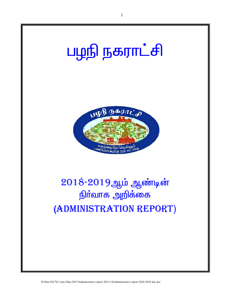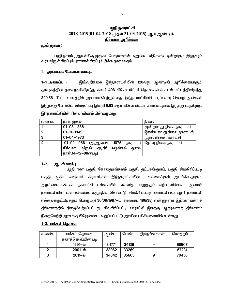# <u>பழநி நகராட்சி</u> <u>2018-2019(01-04-2018 முதல் 31-03-2019) ஆம் ஆண்டின்</u> நிர்வாக அறிக்கை

## <u> முன்னுரை :</u>

பமநி நகரம் , அருள்மிகு முருகப் பெருமானின் அறுபடை வீடுகளில் ஒன்றாகும். இந்நகரம் வரலாற்றுச் சிறப்பும் புராணச் சிறப்பும் மிக்க நகரமாகும்.

## 1. அமைப்பும் மேலாண்மையும்

இவ்வறிக்கை இந்நகராட்சியின் 128வது ஆண்டின் அறிக்கையாகும். <u>1–1. அமைப்பு: -</u> தமிழகத்தின் தலைநகரிலிருந்து சுமார் 496 கிலோ மீட்டர் தொலைவில் கடல் மட்டத்திலிருந்து 320.56 மீட்டா் உயரத்தில் அமையப்பெற்றுள்ளது. இந்நகராட்சியின் பரப்பளவு சென்ற ஆண்டில் <u>இருந்தது</u> போலவே விஸ்தரிப்பு இன்றி **6.63** சதுர கிலோ மீட்டர் கொண்டதாக இரு<u>ந்து</u> வருகிறது. இந்நகராட்சியின் நிலை விவரம் பின்வருமாறு

| வ.எண். | நாள் முதல்                                                                                                                   | நிலை                    |
|--------|------------------------------------------------------------------------------------------------------------------------------|-------------------------|
|        | $01 - 08 - 1886$                                                                                                             | மூன்றாவது நிலை நகராட்சி |
| 2      | $01 - 11 - 1949$                                                                                                             | இரண்டாவது நிலை நகராட்சி |
| 3      | $01 - 04 - 1973$                                                                                                             | முதல் நிலை நகராட்சி     |
| 4      | $01 - 02 - 1988$<br>(அ,ஆ,எண். 1075 நகராட்சி<br><u>குடிநீ</u> ர்<br>நிர்வாக மற்றும்<br>வழங்கல்<br>துறை<br>நாள்.14-12-88ன்படி) | தேர்வு நிலை நகராட்சி.   |

#### $1-2.$ <u>ஆட்சி வரம்பு.</u>

பழநி நகர் பகுதி, கோதைமங்களம் பகுதி, தட்டான்குளம், பகுதி சிவகிரிப்பட்டி பகுதி ஆகிய வருவாய் கிராமங்கள் இந்நகராட்சியின் எல்லைக்குள் அடங்கியதாகும். அறிக்கையாண்டில் நகராட்சி எல்லையில் எவ்வித மாறுதலும் ஏற்படவில்லை. ஆனால் நகராட்சியின் வளா்ச்சியைக் கருத்தில் கொண்டு சிவகிாிப்பட்டி ஊராட்சியை பழநி நகராட்சி எல்லைக்குட்படுத்தும் பொருட்டு 30/09/1987—ம் நாளைய 496(38) எண்ணுள்ள இந்நகா் மன்றத் தீா்மானத்தில் நிறைவேற்றப்பட்டது. சிவகிாிப்பட்டி ஊராட்சி இதற்கு ஆதரவாகத் தீா்மானம் நிறைவேற்றி அரசுக்கு பிரேரணை அனுப்பப்பட்டு அரசின் பரிசீலனையில் உள்ளது.

# <u>1–3. மக்கள் தொகை</u>

| வ.எண. | மக்கட் தொகை           | ஆண    | பெண்  | திருநங்கைகள் | மொத்தம் |
|-------|-----------------------|-------|-------|--------------|---------|
|       | கணக்கெடுப்பின் படி    |       |       |              |         |
|       | 1991–ல்               | 34771 | 34136 |              | 68907   |
|       | $2001 - \dot{\omega}$ | 33962 | 33269 |              | 67231   |
|       | $2011 - \dot{\omega}$ | 34842 | 35605 |              | 70456   |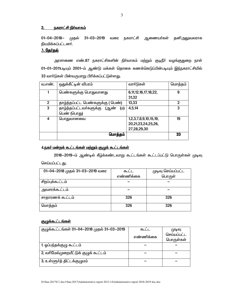# <u>2. நகராட்சி நிர்வாகம்</u>

01-04-2018– முதல் 31–03–2019 வரை நகராட்சி ஆணையர்கள் தனிஅலுவலராக நியமிக்கப்பட்டனர்.

# <u>3. தேர்தல்</u>

அரசாணை எண்.87 நகராட்சிகளின் நிர்வாகம் மற்றும் குடிநீர் வழங்குதுறை நாள் 01-01-2011படியும் 2001-ம் ஆண்டு மக்கள் தொகை கணக்கெடுப்பின்படியும் இந்நகராட்சியில் 33 வார்டுகள் பின்வருமாறு பிரிக்கப்பட்டுள்ளது.

| வ.எண்.         | ஒதுக்கீட்டின் விபரம்                   | வாா்டுகள்                  | மொத்தம் |
|----------------|----------------------------------------|----------------------------|---------|
|                | பெண்களுக்கு பொதுவானது                  | 6, 11, 12, 16, 17, 18, 22, | 9       |
|                |                                        | 31,32                      |         |
| $\overline{2}$ | தாழ்த்தப்பட்ட பெண்களுக்கு ( பெண்)      | 13,33                      | 2       |
| 3              | தாழ்த்தப்பட்டவர்களுக்கு<br>(ம)<br>(ஆண் | 4,5,14                     | 3       |
|                | பெண் (பொது)                            |                            |         |
| 4              | பொதுவானவை                              | 1,2,3,7,8,9,10,15,19,      | 19      |
|                |                                        | 20,21,23,24,25,26,         |         |
|                |                                        | 27,28,29,30                |         |
|                | மொத்தம்                                |                            | 33      |
|                |                                        |                            |         |

# <u>4.நகர் மன்றக் கூட்டங்கள் மற்றும் குழுக் கூட்டங்கள்</u>

2018-2019-ம் ஆண்டில் கீழ்க்கண்டவாறு கூட்டங்கள் கூட்டப்பட்டு பொருள்கள் முடிவு செய்யப்பட்டது.

| 01-04-2018 முதல் 31-03-2019 வரை | கூடட      | முடிவு செய்யப்பட்ட |
|---------------------------------|-----------|--------------------|
|                                 | எண்ணிக்கை | பொருள்             |
| சிறப்புக்கூட்டம்                |           |                    |
| அவசரக்கூட்டம்                   |           |                    |
| சாதாரணக் கூட்டம்                | 326       | 326                |
| மொத்தம்                         | 326       | 326                |

# <u>குழுக்கூட்டங்கள்</u>

| குழுக்கூட்டங்கள் 01-04-2018 முதல் 31-03-2019 | கூட்ட     | (முடிவு                  |
|----------------------------------------------|-----------|--------------------------|
|                                              | எண்ணிக்கை | செய்யப்பட்ட<br>பொருள்கள் |
| 1. ஓப்பந்தக்குழு கூட்டம்                     |           |                          |
| 2, வரிமேல்முறையீட்டுக் குழுக் கூட்டம்        |           |                          |
| 3, உள்ளூர்த் திட்டக்குழுமம்                  |           |                          |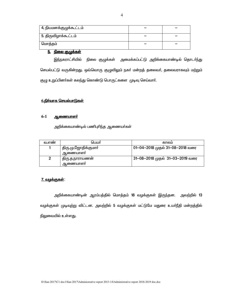| 4, நியமனக்குழுக்கூட்டம் |  |
|-------------------------|--|
| 5. திருவிழாக்கூட்டம்    |  |
| மொத்தம்                 |  |

# 5. நிலை குழுக்கள்

இந்நகராட்சியில் நிலை குழுக்கள் அமைக்கப்பட்டு அறிக்கையாண்டில் தொடா்ந்து செயல்பட்டு வருகின்றது. ஒவ்வொரு குழுவிலும் நகா் மன்றத் தலைவா், தலைவராகவும் மற்றும் குழு உறுப்பினர்கள் கலந்து கொண்டு பொருட்களை முடிவு செய்வார்.

# <u>6.நிர்வாக செயல்பாடுகள்</u>

#### $6-1$ <u>ஆணையாளர்</u>

அறிக்கையாண்டில் பணிபுரிந்த ஆணையா்கள்

| வ.எண | பெயர்                           | காலம                            |
|------|---------------------------------|---------------------------------|
|      | திரு.மு,ஜோதிக்குமாா்<br>ஆணையாளா | 01-04-2018 முதல் 31-08-2018 வரை |
| 2    | திரு.த.நாராயணன்<br>ஆணையாளா      | 31-08-2018 முதல் 31-03-2019 வரை |

# <u>7. வழக்குகள்:</u>

அறிக்கையாண்டின் ஆரம்பத்தில் மொத்தம் 18 வழக்குகள் இருந்தன. அவற்றில் 13 வழக்குகள் முடிவுற்று விட்டன. அவற்றில் 5 வழக்குகள் மட்டுமே மதுரை உயர்நீதி மன்றத்தில் நிலுவையில் உள்ளது.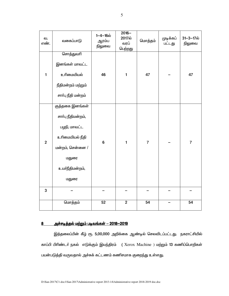| வ.<br>எண்.     | வகைப்பாடு             | $1 - 4 - 16\omega$<br>ஆரம்ப<br>நிலுவை | $2016 -$<br>2017ல்<br>வரப்<br>பெற்றது | மொத்தம்        | முடிக்கப்<br>பட்டது | 31-3-17ல்<br>நிலுவை |
|----------------|-----------------------|---------------------------------------|---------------------------------------|----------------|---------------------|---------------------|
|                | <del>சொத்த</del> ுவரி |                                       |                                       |                |                     |                     |
|                | இனங்கள் மாவட்ட        |                                       |                                       |                |                     |                     |
| $\mathbf{1}$   | உரிமையியல்            | 46                                    | $\mathbf{1}$                          | 47             |                     | 47                  |
|                | நீதிமன்றம் மற்றும்    |                                       |                                       |                |                     |                     |
|                | சாா்பு நீதி மன்றம்    |                                       |                                       |                |                     |                     |
|                | குத்தகை இனங்கள்       |                                       |                                       |                |                     |                     |
|                | சாா்பு நீதிமன்றம்,    |                                       |                                       |                |                     |                     |
|                | பழநி, மாவட்ட          |                                       |                                       |                |                     |                     |
| $\overline{2}$ | உரிமையியல் நீதி       | 6                                     | $\mathbf{1}$                          | $\overline{7}$ |                     | $\overline{7}$      |
|                | மன்றம், சென்னை /      |                                       |                                       |                |                     |                     |
|                | மதுரை                 |                                       |                                       |                |                     |                     |
|                | உயா்நீதிமன்றம்,       |                                       |                                       |                |                     |                     |
|                | மதுரை                 |                                       |                                       |                |                     |                     |
| 3              |                       |                                       |                                       |                |                     |                     |
|                | மொத்தம்               | 52                                    | $\overline{2}$                        | 54             |                     | 54                  |

# 8 அச்ச<u>டித்தல் மற்றும் படிவங்கள் – 2018–2019</u>

இத்தலைப்பின் கீழ் ரூ. 5,00,000 அறிக்கை ஆண்டில் செலவிடப்பட்டது. நகராட்சியில் காப்பி பிரிண்டர் நகல் எடுக்கும் இயந்திரம் (Xerox Machine ) மற்றும் 13 கணிப்பொறிகள் பயன்படுத்தி வருவதால் அச்சுக் கட்டணம் கணிசமாக குறைந்து உள்ளது.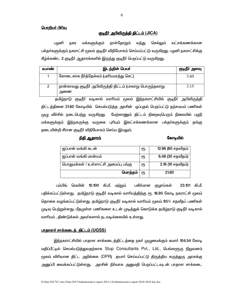## <u> பொறியர் பிரிவு</u>

## குடிநீர் அபிவிருத்தி திட்டம் (JICA)

மக்களுக்கும் நாள்தோறும் பழனி வந்து செல்லும் லட்சக்கணக்கான நகர பக்தா்களுக்கும் நகராட்சி மூலம் குடிநீா் விநியோகம் செய்யப்பட்டு வருகிறது. பழனி நகராட்சிக்கு கீழ்க்கண்ட 2 குடிநீா் ஆதாரங்களில் இருந்து குடிநீா் பெறப்பட்டு வருகிறது.

| வ.எண | இடத்தின் பெயர்                                                    | குடிநீர் அளவு |
|------|-------------------------------------------------------------------|---------------|
|      | கோடைகால நீா்த்தேக்கம் (புளியமரத்து செட்)                          | 3.60          |
|      | நான்காவது குடிநீா் அபிவிருத்தி திட்டம் (பாலாறு பொருந்தலாறு<br>அணை | 3.15          |

தமிழ்நாடு குடிநீர் வடிகால் வாரியம் மூலம் இந்நகராட்சியில் குடிநீர் அபிவிருத்தி திட்டத்தினை 21.60 கோடியில் செயல்படுத்த அரசின் ஒப்புதல் பெறப்பட்டு தற்சமயம் பணிகள் முழு வீச்சில் நடைபெற்று வருகிறது. மேற்காணும் திட்டம் நிறைவுபெரும் நிலையில் பழநி மக்களுக்கும் இந்நகருக்கு வருகை புரியும் இலட்சக்கணக்கான பக்தா்களுக்கும் தங்கு தடையின்றி சீரான குடிநீர் விநியோகம் செய்ய இயலும்.

## <u>நிதி ஆகாரம்</u>

#### கோடியில்

| ஜப்பான் வங்கி கடன்                   | ரூ. | 12.96 (60 சதவிதம் |
|--------------------------------------|-----|-------------------|
| ஜப்பான் வங்கி மான்யம்                | ரூ  | 6.48 (30 சதவீதம்) |
| பொதுமக்கள் / உள்ளாட்சி அமைப்பு பங்கு | ரூ  | 2.16 (10 சதவீதம்) |
| மொத்தம்                              | €Ҧ  | 21.60             |

பம்பிங் மெயின் 10.100 கி.மீ. மற்றும் பகிா்மான குழாய்கள் 23.101 கி.மீ. பதிக்கப்பட்டுள்ளது. தமிழ்நாடு குடிநீா் வடிகால் வாாியத்திற்கு ரூ. 16.95 கோடி நகராட்சி மூலம் தொகை வழங்கப்பட்டுள்ளது. தமிழ்நாடு குடிநீர் வடிகால் வாரியம் மூலம் 85% சதவீதப் பணிகள் முடிவு பெற்றுள்ளது. மீதமுள்ள பணிகளை உடன் முடித்துக் கொடுக்க தமிழ்நாடு குடிநீர் வடிகால் வாரியம் , திண்டுக்கல் அவர்களால் நடவடிக்கையில் உள்ளது.

## <u>பாதாளச் சாக்கடைத் திட்டம் (UGSS)</u>

இந்நகராட்சியில் பாதாள சாக்கடைத்திட்டத்தை நகர் முழுமைக்கும் சுமார் 104.54 கோடி மதிப்பீட்டில் செயல்படுத்துவதற்காக Stup Consultants Pvt., Ltd., பெங்களூரு நிறுவனம் மூலம் விரிவான திட்ட அறிக்கை (DPR) தயாா் செய்யப்பட்டு திருத்திய கருத்துரு அரசுக்கு அனுப்பி வைக்கப்பட்டுள்ளது. அரசின் நிா்வாக அனுமதி பெறப்பட்டவுடன் பாதாள சாக்கடை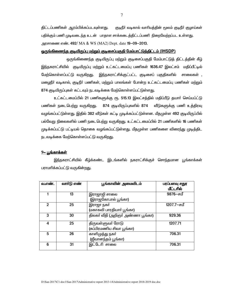திட்டப்பணிகள் ஆரம்பிக்கப்படவுள்ளது. குடிநீா் வடிகால் வாரியத்தின் மூலம் குடிநீா் குழாய்கள் பதிக்கும் பணி முடிவடைந்த உடன் பாதாள சாக்கடைத்திட்டப்பணி நிறைவேற்றப்பட உள்ளது. அரசாணை எண். 492/ MA & WS (MA2) Dept. date 19-09-2013.

## <u>ஒருங்கிணைந்த குடியிருப்பு மற்றும் குடிசைப்பகுதி மேம்பாட்டுத்திட்டம் (IHSDP)</u>

ஒருங்கிணைந்த குடியிருப்பு மற்றும் குடிசைப்பகுதி மேம்பாட்டுத் திட்டத்தின் கீழ் <u>இந்ந</u>கராட்சியில் குடியிருப்பு மற்றும் உட்கட்டமைப்பு பணிகள் 1636.47 இலட்சம் மதிப்பீட்டில் மேற்கொள்ளப்பட்டு வருகிறது. இந்நகராட்சிக்குட்பட்ட குடிசைப் பகுதிகளில் சாலைகள் , மழைநீர் வடிகால், குடிநீர் பணிகள், மற்றும் பாலங்கள் போன்ற உட்கட்டமைப்பு பணிகள் மற்றும் 874 குடியிருப்புகள் கட்டவும் நடவடிக்கை மேற்கொள்ளப்பட்டுள்ளது.

உட்கட்டமைப்பில் 21 பணிகளுக்கு ரூ. 515.13 இலட்சத்தில் மதிப்பீடு தயார் செய்யப்ட்டு பணிகள் நடைபெற்று வருகிறது. 874 குடியிருப்புகளில் 874 வீடுகளுக்கு பணி உத்திரவு வழங்கப்பட்டுள்ளது. இதில் 382 வீடுகள் கட்டி முடிக்கப்பட்டுள்ளன. மீதமுள்ள 492 குடியிருப்பில் பல்வேறு நிலைகளில் பணி நடைபெற்று வருகிறது. உட்கட்டமைப்பில் 21 பணிகளில் 16 பணிகள் முடிக்கப்பட்டு பட்டியல் தொகை வழங்கப்பட்டுள்ளது. மீதமுள்ள பணிகளை விரை<u>ந்</u>து முடித்திட நடவடிக்கை மேற்கொள்ளப்பட்டு வருக<u>ிறத</u>ு.

## <u>9– பங்காக்கள்</u>

இந்நகராட்சியில் கீழ்க்கண்ட இடங்களில் நகராட்சிக்குச் சொந்தமான பூங்காக்கள் பராமாிக்கப்பட்டு வருகின்றது.

| வ.எண்.       | வார்டு எண் | பூங்காவின் அமைவிடம்               | பரப்பளவு சதுர<br>மீட்டரில் |
|--------------|------------|-----------------------------------|----------------------------|
|              | 13         | இராஜாஜி சாலை                      | 9876-சமீ                   |
|              |            | (இராஜகோபால் பூங்கா)               |                            |
| $\mathbf{2}$ | 25         | இராஜா நகர்                        | 1207.7-சமீ                 |
|              |            | (மகாகவி பாரதியாா் பூங்கா)         |                            |
| 3            | 30         | திலகா் வீதி (அறிஞா் அண்ணா பூங்கா) | 929.36                     |
| 4            | 25         | திருவள்ளுவர் ரோடு                 | 1207.71                    |
|              |            | (சுப்பிரமணிய சிவா பூங்கா)         |                            |
| 5            | 26         | காளிமுத்து நகர்                   | 706.31                     |
|              |            | (ஜீவானந்தம் பூங்கா)               |                            |
| 6            | 31         | இட்டேரி சாலை                      | 706.31                     |

7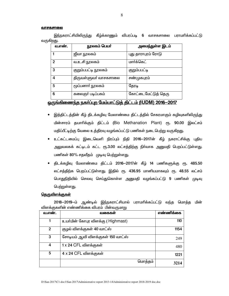#### வாசகசாலை

இந்நகராட்சியிலிருந்து கீழ்க்காணும் விபரப்படி 6 வாசகசாலை பராமரிக்கப்பட்டு வருகிறது.

| வ.எண்.       | நூலகம் பெயர்          | அமைந்துள்ள இடம்     |
|--------------|-----------------------|---------------------|
|              | ஜீவா நூலகம்           | புது தாராபுரம் ரோடு |
| $\mathbf{2}$ | வ.உ.சி நூலகம்         | மார்க்கெட்          |
| 3            | குறும்பபட்டி நூலகம்   | <u>குறும்பபட்டி</u> |
| 4            | திருவள்ளுவா் வாசகசாலை | சண்முகபுரம்         |
| 5            | ருப்பனாா் நூலகம்      | தேரடி               |
| 6            | கலைஞா் படிப்பகம்      | கோட்டைமேட்டுத் தெரு |

# <u>ஒருங்கிணைந்த நகர்ப்புற மேம்பாட்டுத் திட்டம் (IUDM) 2016-2017</u>

- இத்திட்டத்தின் கீழ் திடக்கழிவு மேலாண்மை திட்டத்தில் சேகரமாகும் கழிவுகளிலிருந்து பின்சாரம் தயாரிக்கும் திட்டம் (Bio Methanation Plant) ரூ. 90.00 இலட்சம் மதிப்பீட்டிற்கு வேலை உத்திரவு வழங்கப்பட்டு பணிகள் நடைபெற்று வருகிறது.
- உட்கட்டமைப்பு இடைவெளி நிரப்பும் நிதி 2016-2017ன் கீழ் நகராட்சிக்கு புதிய அலுவலகக் கட்டிடம் கட்ட ரூ.3.00 லட்சத்திற்கு நிர்வாக அனுமதி பெறப்பட்டுள்ளது. பணிகள் 80% சதவீதம் முடிவு பெற்றுள்ளது.
- திடக்கழிவு மேலாண்மை திட்டம் 2016–2017ன் கீழ் 14 பணிகளுக்கு ரூ. 485.50 லட்சத்திற்க பெறப்பட்டுள்ளது. இதில் ரூ. 436.95 மானியமாகவும் ரூ. 48.55 லட்சம் பொதுநிதியில் செலவு செய்துகொள்ள அனுமதி வழங்கப்பட்டு 9 பணிகள் முடிவு பெற்றுள்ளது.

### <u>தெருவிளக்குகள்</u>

2018-2019-ம் ஆண்டில் இந்நகராட்சியால் பராமாிக்கப்பட்டு வந்த மொக்க மின் விளக்குகளின் எண்ணிக்கை விபரம் பின்வருமாறு

| வ.எண்.       | வகைகள                              | எண்ணிக்கை |
|--------------|------------------------------------|-----------|
|              | உயா்மின் கோபுர விளக்கு ( Highmast) | 110       |
| $\mathbf{2}$ | குழல் விளக்குகள் 40 வாட்ஸ்         | 1154      |
| 3            | சோடியம் ஆவி விளக்குகள் 150 வாட்ஸ்  | 249       |
| 4            | 1 x 24 CFL விளக்குகள்              | 480       |
| 5            | 4 x 24 CFL விளக்குகள்              | 1221      |
|              | மொத்தம்                            | 3214      |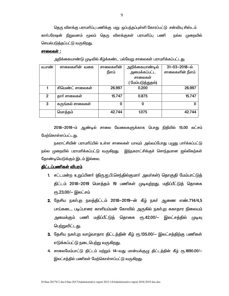தெரு விளக்கு பராமரிப்பு பணிக்கு மறு ஒப்பந்தப்புள்ளி கோரப்பட்டு சன்வியு சிஸ்டம் காா்பரேஷன் நிறுவனம் மூலம் தெரு விளக்குகள் பராமாிப்பு பணி நல்ல முறையில் செயல்படுத்தப்பட்டு வருகிறது.

## சாலைகள் :

அறிக்கையாண்டு முடிவில் கீழ்க்கண்ட பல்வேறு சாலைகள் பராமாிக்கப்பட்டது.

| வ.எண்          | சாலைகளின் வகை    | சாலைகளின் | அறிக்கையாண்டில்   | $31 - 03 - 2018 - \omega$ |
|----------------|------------------|-----------|-------------------|---------------------------|
|                |                  | நீளம்     | அமைக்கப்பட்ட      | சாலைகளின் நீளம்           |
|                |                  |           | சாலைகள்           |                           |
|                |                  |           | ( மேம்படுத்துதல்) |                           |
|                | சிமெண்ட் சாலைகள் | 26.997    | 0.200             | 26.997                    |
| $\overline{2}$ | தார் சாலைகள்     | 15.747    | 0.875             | 15.747                    |
| 3              | கருங்கல் சாலைகள் | 0         | O                 |                           |
|                | மொத்தம்          | 42.744    | 1.075             | 42.744                    |

2018-2019-ம் ஆண்டில் சாலை வேலைகளுக்காக பொது நிதியில் 15.00 லட்சம் மேற்கொள்ளப்பட்டது.

நகராட்சியின் பராமரிப்பில் உள்ள சாலைகள் யாவும் அவ்வப்போது பமுது பார்க்கப்பட்டு நல்ல முறையில் பராமாிக்கப்பட்டு வருகிறது. இந்நகராட்சிக்குச் சொந்தமான ஜல்லிகற்கள் தோண்டியெடுக்கும் இடம் இல்லை.

# <u>திட்டப்பணிகள் விபரம்</u>

- 1. சட்டமன்ற உறுப்பினர் (திரு.ஐ.பி.செந்தில்குமார் அவர்கள்) தொகுதி மேம்பாட்டுத் திட்டம் 2018–2019 மொத்தம் 19 பணிகள் முடிவுற்றது. மதிப்பீட்டுத் தொகை  $\epsilon$ ரு.23.00/— இலட்சம்
- 2. தேசிய நகர்புற நலத்திட்டம் 2018–2019–ன் கீழ் நகர் ஆணை எண்.714/4,5 பாய்கடை, படிப்பாரை காளியம்மன் கோவில் அருகில் நகா்புற சுகாதார நிலையம் அமைக்கும் பணி மதிப்பீட்டுத் தொகை ரூ.42.00/-- இலட்சத்தில் முடிவு பெற்றுவிட்டது.
- 3. தேசிய நகர்புற வாழ்வாதார திட்டத்தின் கீழ் ரூ.135.00/- இலட்சத்திற்கு பணிகள் எடுக்கப்பட்டு நடைபெற்று வருகி<u>றது</u>.
- 4. சாலைமேம்பாட்டு திட்டம் மற்றும் 14-வது மான்யக்குழு திட்டத்தின் கீழ் ரூ.1890.00/-இலட்சத்தில் பணிகள் மேற்கொள்ளப்பட்டு வருகிறது.

9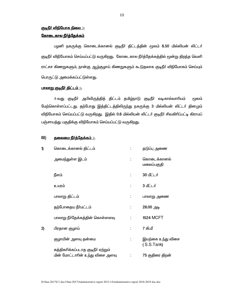# <u> குடிநீர் விநியோக நிலை :-</u>

# <u>கோடைகால நீர்த்தேக்கம்</u>

பழனி நகருக்கு கொடைக்கானல் குடிநீர் திட்டத்தின் மூலம் 6.50 மில்லியன் லிட்டர் குடிநீர் விநியோகம் செய்யப்பட்டு வருகிறது. கோடைகால நீர்த்தேக்கத்தில் மூன்று திறந்த வெளி ராட்சச கிணறுகளும், நான்கு ஆழ்குழாய் கிணறுகளும் கூடுதலாக குடிநீா் விநியோகம் செய்யும் பொருட்டு அமைக்கப்பட்டுள்ளது.

# <u>பாலாறு குடிநீர் திட்டம் :-</u>

4-வது குடிநீா் அபிவிருத்தித் திட்டம் தமிழ்நாடு குடிநீா் வடிகால்வாாியம் மூலம் மேற்கொள்ளப்பட்டது. தற்போது இத்திட்டத்திலிருந்து நகருக்கு 3 மில்லியன் லிட்டா் தினமும் விநியோகம் செய்யப்பட்டு வருகிறது. இதில் 0.6 மில்லியன் லிட்டர் குடிநீர் சிவகிரிப்பட்டி கிராமப் பஞ்சாயத்து பகுதிக்கு விநியோகம் செய்யப்பட்டு வருகிறது.

#### $III)$ <u> தலைமை நீர்த்தேக்கம் :-</u>

| 1) | கொடைக்கானல் திட்டம்                 | தடுப்பு அணை                     |
|----|-------------------------------------|---------------------------------|
|    | அமைந்துள்ள இடம்                     | கொடைக்கானல்<br>மலைப்பகுதி       |
|    | நீளம்                               | 30 மீட்டர்                      |
|    | உயரம்                               | 3 மீட்டர்                       |
|    | பாலாறு திட்டம்                      | பாலாறு அணை                      |
|    | தற்போதைய நீா்மட்டம்                 | 28.00 அடி                       |
|    | பாலாறு நீா்தேக்கத்தின் கொள்ளளவு     | <b>1524 MCFT</b>                |
| 2) | பிரதான குழாய்                       | 7 கி.மீ                         |
|    | குழாயின் அளவு தன்மை                 | இயற்கை உந்து விசை<br>(S.S.Tank) |
|    | சுத்திகரிக்கப்படாத குடிநீா் ஏற்றும் |                                 |
|    | மின் மோட்டாரின் உந்து விசை அளவு     | 75 குதிரை திறன்                 |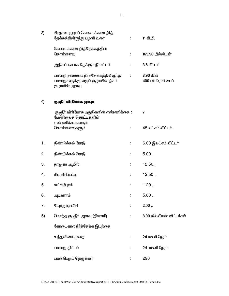| 3) | பிரதான குழாய் கோடைக்கால நீர்த்—<br>தேக்கத்திலிருந்து பழனி வரை                               |    | 11 கி.மி.                          |
|----|---------------------------------------------------------------------------------------------|----|------------------------------------|
|    | கோடைக்கால நீர்த்தேக்கத்தின்<br>கொள்ளளவு                                                     |    | 165.90 மில்லியன்                   |
|    | அதிகப்படியாக தேக்கும் நீா்மட்டம்                                                            | t. | 3.6 மீட்டர்                        |
|    | பாலாறு தலைமை நீா்த்தேக்கத்திலிருந்து<br>பாலாறுகளுக்கு வரும் குழாயின் நீளம்<br>குழாயின் அளவு | ÷  | 8.90 கி.மீ<br>400 மி.மீ.ஏ.சி.பைப். |
| 4) | <u> குடிநீா் விநியோக முறை</u>                                                               |    |                                    |
|    | குடிநீா் விநியோக பகுதிகளின் எண்ணிக்கை :<br>மேல்நிலைத் தொட்டிகளின்                           |    | 7                                  |
|    | எண்ணிக்கைகளும்,<br>கொள்ளளவுகளும்                                                            |    | 45 லட்சம் லிட்டர்.                 |
| 1. | திண்டுக்கல் ரோடு                                                                            | ÷  | 6.00 இலட்சம் லிட்டர்               |
| 2. | திண்டுக்கல் ரோடு                                                                            |    | 5.00,                              |
| 3. | தாலுகா ஆபீஸ்                                                                                | t. | 12.50,                             |
| 4. | சிவகிரிப்பட்டி                                                                              | t. | 12.50,                             |
| 5. | லட்சுமிபுரம்                                                                                |    | 1.20,                              |
| 6. | அடிவாரம்                                                                                    |    | 5.80,                              |
| 7. | மேற்கு ரதவீதி                                                                               |    | 2.00,                              |
| 5) | மொத்த குடிநீா் அளவு (தினசாி)                                                                |    | 8.00 மில்லியன் லிட்டர்கள்          |
|    | கோடைகால நீர்த்தேக்க இயற்கை                                                                  |    |                                    |
|    | உந்துவிசை முறை                                                                              |    | 24 மணி நேரம்                       |
|    | பாலாறு திட்டம்                                                                              |    | 24 மணி நேரம்                       |
|    | பயன்பெறும் தெருக்கள்                                                                        |    | 290                                |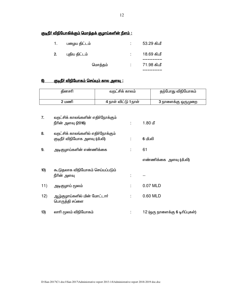# <u>குடிநீா் விநியோகிக்கும் மொத்தக் குழாய்களின் நீளம் :</u>

| 1. | பழைய திட்டம்  | 53.29 கி.மீ |
|----|---------------|-------------|
| 2. | புதிய திட்டம் | 18.69 கி.மீ |
|    | மொத்தம்       | 71.98 கி.மீ |

#### <u> குடிநீா் விநியோகம் செய்யும் கால அளவு :</u>  $6$

|     | தினசரி                                                             | வறட்சிக் காலம்       |           | தற்போது விநியோகம்               |
|-----|--------------------------------------------------------------------|----------------------|-----------|---------------------------------|
|     | 2 மணி                                                              | 4 நாள் விட்டு 1 நாள் |           | 3 நாளைக்கு ஒருமுறை              |
|     |                                                                    |                      |           |                                 |
| 7.  | வறட்சிக் காலங்களின் எதிா்நோக்கும்<br>நீரின் அளவு (2016)            |                      | $1.80$ மீ |                                 |
| 8.  | வறட்சிக் காலங்களில் எதிர்நோக்கும்<br>குடிநீா் விநியோக அளவு (மி.லி) |                      | 6 மி.லி   |                                 |
| 9.  | அடிகுழாய்களின் எண்ணிக்கை                                           |                      | 61        |                                 |
|     |                                                                    |                      |           | எண்ணிக்கை  அளவு (மி.லி)         |
| 10) | கூடுதலாக விநியோகம் செய்யப்படும்<br>நீரின் அளவு                     |                      |           |                                 |
| 11) | அடிகுழாய் மூலம்                                                    |                      | 0.07 MLD  |                                 |
| 12) | ஆழ்குழாய்களில் மின் மோட்டார்<br>பொருத்தி சப்ளை                     |                      | 0.60 MLD  |                                 |
| 13) | லாாி மூலம் விநியோகம்                                               |                      |           | 12 (ஒரு நாளைக்கு 6 டிரிப்புகள்) |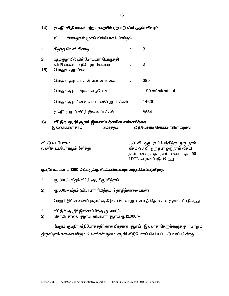<u>குடிநீர் விநியோகம் மற்ற முறையில் ஏற்பாடு செய்ததன் விவரம் :</u>  $14)$ 

> $a)$ கிணறுகள் மூலம் விநியோகம் செய்தல்

| 1.        | திறந்த வெளி கிணறு                                                                            | 3                   |
|-----------|----------------------------------------------------------------------------------------------|---------------------|
| 2.<br>15) | ஆழ்குழாயில் மின்மோட்டாா் பொருத்தி<br>விநியோகம் (நீரேற்று நிலையம்<br><u> பொதுக் குழாய்கள்</u> | 3                   |
|           | பொதுக் குழாய்களின் எண்ணிக்கை                                                                 | 289                 |
|           | பொதுக்குழாய் மூலம் விநியோகம்                                                                 | 1.90 லட்சம் லிட்டர் |
|           | பொதுக்குழாயின் மூலம் பயன்பெறும் மக்கள்   :                                                   | 14600               |
|           | குடிநீா் குழாய் வீட்டு இணைப்புக்கள்                                                          | 8654                |

#### <u>வீட்டுக் குடிநீர் குழாய் இணைப்புக்களின் எண்ணிக்கை</u>  $16)$

| இணைப்பின் தரம்          | மொத்தம் | விநியோகம் செய்யும் நீரின் அளவு        |
|-------------------------|---------|---------------------------------------|
|                         |         |                                       |
|                         |         |                                       |
| வீட்டு உபயோகம்          |         | 550 லி. ஒரு குடும்பத்திற்கு ஒரு நாள்  |
| வணிக உபயோகமும் சேர்த்து |         | வீதம் (93 லி ஒரு நபர் ஒரு நாள் வீதம்) |
|                         |         | நாள் ஒன்றுக்கு நபர் ஒன்றுக்கு 90      |
|                         |         | LPCD வழங்கப்படுகின்றது.               |

# <u>குடிநீர் கட்டணம் 1000 லிட்டருக்கு கீழ்க்கண்டவாறு வசூலிக்கப்படுகிறது.</u>

- $\boldsymbol{\theta}$ ரூ. 300/– வீதம் வீட்டு குடியிருப்பிற்கும்
- ரூ.600/- வீதம் (வியாபார நிமித்தம், தொழிற்சாலை பயன்)  $2)$

மேலும் இவ்விணைப்புகளுக்கு கீழ்க்கண்டவாறு வைப்புத் தொகை வசூலிக்கப்படுகிறது.

- வீட்டுக் குடிநீா் இணைப்பிற்கு ரூ.6000/-1)
- தொழிற்சாலை குழாய், வியாபார குழாய் ரூ.12,000/- $2)$

மேலும் குடிநீா் விநியோகத்திற்காக பிரதான குழாய் இல்லாத தெருக்களுக்கு மற்றும் திருவிழாக் காலங்களிலும் 2 லாரிகள் மூலம் குடிநீா் விநியோகம் செய்யப்பட்டு வரப்படுகிறது.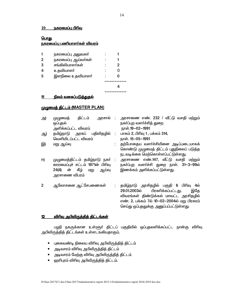## <u>10 நகரமைப்பு பிரிவ</u>

# பொது

# <u>நகரமைப்பு பணியாளர்கள் விவரம்</u>

|   | நகரமைப்பு அலுவலா்   |  |  |
|---|---------------------|--|--|
|   | நகரமைப்பு ஆய்வர்கள் |  |  |
| З | சங்கிலியாளர்கள்     |  |  |
|   | உதவியாளர்           |  |  |
|   | இளநிலை உதவியாளா்    |  |  |
|   |                     |  |  |
|   |                     |  |  |
|   |                     |  |  |

# <u>11 நிலம் வகைப்படுத்துதல்</u>

# <u>முழுமைத் திட்டம் (MASTER PLAN)</u>

| அ) | முழுமைத்<br>ஒப்புதல்<br>அளிக்கப்பட்ட விவரம்                                             | திட்டம் அரசால் : அரசாணை எண். 232 / வீட்டு வசதி மற்றும்<br>நகா்ப்புற வளா்ச்சித் துறை<br>நாள்.19-02-1991                                                                                                                    |
|----|-----------------------------------------------------------------------------------------|---------------------------------------------------------------------------------------------------------------------------------------------------------------------------------------------------------------------------|
| ஆ) | தமிழ்நாடு அரசுப் பதிவிதழில் :<br>வெளியிடப்பட்ட விவரம்                                   | பாகம் 2, பிரிவு 1, பக்கம் 314,<br>நாள். 15-05-1991                                                                                                                                                                        |
| இ) | மறு ஆய்வு                                                                               | தற்போதைய வளர்ச்சியினை அடிப்படையாகக்<br>கொண்டு முழுமைத் திட்டம் புதுநிலைப் படுத்த<br>நடவடிக்கை மெற்கொள்ளப்பட்டுள்ளது.                                                                                                      |
| ஈ) | ஊரமைப்புச் சட்டம் 1971ன் பிரிவு<br>கீழ்<br>ன்<br>24(4)<br>ஆய்வு<br>மறு<br>அரசாணை விபரம் | முழுமைத்திட்டம் தமிழ்நாடு நகா் : அரசாணை எண்.147, வீட்டு வசதி மற்றும்<br>நகர்ப்புற வளர்ச்சி துறை நாள். 31-3–99ல்<br>இணக்கம் அளிக்கப்பட்டுள்ளது.                                                                            |
| 2  | ஆலோசனை ஆட்சேபணைகள்                                                                      | தமிழ்நாடு அரசிதழில் பகுதி 6 பிரிவு 4ல்<br>பிரசுரிக்கப்பட்டது.<br>29.01.2003ல்<br>இதே<br>விவரங்கள் திண்டுக்கல் மாவட்ட அரசிதழில்<br>எண். 2, பக்கம் 7ல் 10-02–2004ல் மறு பிரசுரம்<br>செய்து ஒப்புதலுக்கு அனுப்பப்பட்டுள்ளது. |

# <u>12 விரிவு அபிவிருத்தித் திட்டங்கள்</u>

பழநி நகருக்கான உள்ளூர் திட்டப் பகுதியில் ஒப்புதலளிக்கப்பட்ட நான்கு விரிவு அபிவிருத்தித் திட்டங்கள் உள்ளடஙகியதாகும்.

- $\bullet$  புகைவண்டி நிலைய விரிவு அபிவிருத்தித் திட்டம்
- அடிவாரம் விரிவு அபிவிருத்தித் திட்டம்
- அடிவாரம் மேற்கு விரிவு அபிவிருத்தித் திட்டம்
- ஹரிபுரம் விரிவு அபிவிருத்தித் திட்டம்.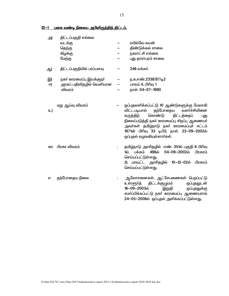12-1 புகை வண்டி நிலைய அபிவிருத்தித் திட்டம்.

| அ)       | திட்டப்பகுதி எல்லை<br>வடக்கு<br>தெற்கு<br>கிழக்கு<br>மேற்கு    |   | ரயில்வே லயன்<br>திண்டுக்கல் சாலை<br>நகராட்சி எல்கை<br>புது தாராபுரம் சாலை                                                                                                                                                                                                                                  |
|----------|----------------------------------------------------------------|---|------------------------------------------------------------------------------------------------------------------------------------------------------------------------------------------------------------------------------------------------------------------------------------------------------------|
| ஆ)       | திட்டப்பகுதியில் பரப்பளவு                                      |   | 246 ஏக்கர்.                                                                                                                                                                                                                                                                                                |
| இ)<br>冋) | நகா் ஊரமைப்பு இயக்குநா்<br>அரசுப் பதிவிதழில் வெளியான<br>விவரம் | - | ந.க.எண்.2338/87/டி2<br>— பாகம் 4, பிரிவு 1<br>நாள். 04-07-1990                                                                                                                                                                                                                                             |
| உ)       | மறு ஆய்வு விவரம்                                               |   | ஒப்புதலளிக்கப்பட்டு 10 ஆண்டுகளுக்கு மேலாகி<br>தற்போதைய<br>விட்டபடியால்<br>வளா்ச்சியினை<br>கொண்டு<br>திட்டத்தைப்<br>கருத்திற்<br>புது<br>நிலைப்படுத்தி நகர் ஊரமைப்பு சிறப்பு ஆணையர்<br>அவா்கள் தமிழ்நாடு நகா் ஊரமைப்புச் சட்டம்<br>1971ன் பிரிவு 33 டிபி2, நாள். 23-09-2002ல்<br>ஒப்புதல் வழஙகியுள்ளார்கள். |
| ஊ        | பிரசுர விவரம்                                                  |   | தமிழ்நாடு அரசிதழில் எண். 351ல் பகுதி 6 பிரிவு<br>496ல்<br>04-09–2002ல் பிரசுரம்<br>1ல்<br>பக்கம்<br>செய்யப்பட்டுள்ளது.<br>2) மாவட்ட அரசிதழில் 10-12-02ல் பிரசுரம்<br>செய்யப்பட்டுள்ளது.                                                                                                                    |
| எ        | தற்போதைய நிலை                                                  |   | ஆலோசனைகள், ஆட்சேபணைகள் பெறப்பட்டு<br>திட்டக்குழுமம்<br>உள்ளூர்த்<br>ஒப்புதலுடன்<br>16-09-2003ல்<br>இறுதி<br>ஒப்புதலுக்கு<br>சமா்ப்பிக்கப்பட்டு நகா் ஊரமைப்பு ஆணையரால்<br>24-05-2006ல் ஒப்புதல் அளிக்கப்பட்டுள்ளது.                                                                                         |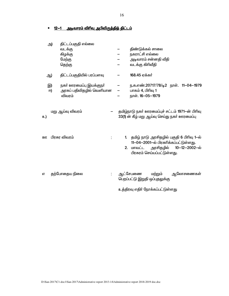#### <u>12–1 அடிவாரம் விரிவு அபிவிருத்தித் திட்டம்</u>  $\bullet$

|                                                      | திண்டுக்கல் சாலை<br>நகராட்சி எல்லை<br>அடிவாரம் சன்னதி வீதி<br>வடக்கு கிரிவீதி                                                                                  |
|------------------------------------------------------|----------------------------------------------------------------------------------------------------------------------------------------------------------------|
| திட்டப்பகுதியில் பரப்பளவு                            | 168.45 ஏக்கர்                                                                                                                                                  |
| நகா் ஊரமைப்பு இயக்குநா்<br>அரசுப் பதிவிதழில் வெளியான | ந.க.எண்.20717/78/டி2 நாள். 11-04-1979<br>பாகம் 4, பிரிவு 1<br>நாள். 16-05-1979                                                                                 |
|                                                      | தமிழ்நாடு நகர் ஊரமைப்புச் சட்டம் 1971-ன் பிரிவு<br>33(1) ன் கீழ் மறு ஆய்வு செய்து நகர் ஊரமைப்பு                                                                |
|                                                      | 1. தமிழ் நாடு அரசிதழில் பகுதி 6 பிரிவு 1-ல்<br>11-04-2001-ல் பிரசுரிக்கப்பட்டுள்ளது.<br>அரசிதழில்<br>10-12-2002-ல்<br>2. மாவட்ட<br>பிரசுரம் செய்யப்பட்டுள்ளது. |
|                                                      | ஆட்சேபணை<br>மற்றும்<br>ஆலோசணைகள்<br>பெறப்பட்டு இறுதி ஒப்புதலுக்கு<br>உத்திரவு எதிா் நோக்கப்பட்டுள்ளது                                                          |
|                                                      |                                                                                                                                                                |

16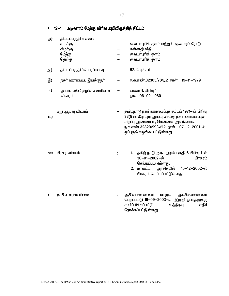<u>12—1 அடிவாரம் மேற்கு விரிவு அபிவிருத்தித் திட்டம்</u>  $\bullet$ 

| அ) | திட்டப்பகுதி எல்லை<br>வடக்கு<br>கிழக்கு<br>மேற்கு<br>தெற்கு | வையாபுரிக் குளம் மற்றும் அடிவாரம் ரோடு<br>சன்னதி வீதி<br>வையாபுரிக் குளம்<br>வையாபுரிக் குளம்                                                                                                                       |
|----|-------------------------------------------------------------|---------------------------------------------------------------------------------------------------------------------------------------------------------------------------------------------------------------------|
| ஆ) | திட்டப்பகுதியில் பரப்பளவு                                   | 52.14 ஏக்கர்                                                                                                                                                                                                        |
| இ) | நகா் ஊரமைப்பு இயக்குநா்                                     | ந.க.எண்.32305/78/டி2 நாள். 19-11-1979                                                                                                                                                                               |
| 冋) | அரசுப் பதிவிதழில் வெளியான<br>விவரம்                         | பாகம் 4, பிரிவு 1<br>நாள். 06-02-1980                                                                                                                                                                               |
| உ) | மறு ஆய்வு விவரம்                                            | தமிழ்நாடு நகர் ஊரமைப்புச் சட்டம் 1971-ன் பிரிவு<br>33(1) ன் கீழ் மறு ஆய்வு செய்து நகர் ஊரமைப்புச்<br>சிறப்பு ஆணையா் , சென்னை அவா்களால்<br>ந.க.எண்.32820/99/டிபி2 நாள். 07-12-2001-ல்<br>ஒப்புதல் வழங்கப்பட்டுள்ளது. |
| ஹ  | பிரசுர விவரம்                                               | தமிழ் நாடு அரசிதழில் பகுதி 6 பிரிவு 1-ல்<br>1.<br>30-01-2002-ல்<br>பிரசுரம்<br>செய்யப்பட்டுள்ளது.<br>2. மாவட்ட<br>அரசிதழில்<br>10-12-2002-ல்<br>பிரசுரம் செய்யப்பட்டுள்ளது.                                         |
| எ  | தற்போதைய நிலை                                               | ஆட்சேபணைகள்<br>மற்றும்<br>ஆலோசணைகள்<br>பெறப்பட்டு 16-09-2003-ல் இறுதி ஒப்புதலுக்கு<br>சமா்ப்பிக்கப்பட்டு<br>உத்திரவு<br>எதிர்<br>நோக்கப்பட்டுள்ளது                                                                  |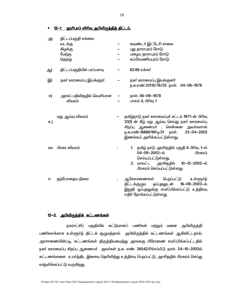• 12-1 ஹரிபுரம் விரிவு அபிவிருத்தித் திட்டம்.

| அ) | திட்டப்பகுதி எல்லை<br>வடக்கு<br>கிழக்கு<br>மேற்கு<br>தெற்கு | கவுண்டர் இட்டேரி சாலை<br>புது தாராபுரம் ரோடு<br>பழைய தாராபுரம் ரோடு<br>சுப்பிரமணியபுரம் ரோடு                                                                                                                   |
|----|-------------------------------------------------------------|----------------------------------------------------------------------------------------------------------------------------------------------------------------------------------------------------------------|
| ஆ) | திட்டப்பகுதியில் பரப்பளவு                                   | 82.88 ஏக்கர்                                                                                                                                                                                                   |
| இ) | நகா் ஊரமைப்பு இயக்குநா்                                     | நகா் ஊரமைப்பு இயக்குனா்<br>ந.க.எண்.31315/76/பி2 நாள். 04-08-1978                                                                                                                                               |
| 冋) | அரசுப் பதிவிதழில் வெளியான<br>விவரம்                         | நாள். 06-09-1978<br>பாகம் 4, பிரிவு 1                                                                                                                                                                          |
| உ) | மறு ஆய்வு விவரம்                                            | தமிழ்நாடு நகர் ஊரமைப்புச் சட்டம் 1971-ன் பிரிவு<br>33(1) ன் கீழ் மறு ஆய்வு செய்து நகர் ஊரமைப்பு<br>சிறப்பு ஆணையா் , சென்னை அவா்களால்<br>ந.க.எண்.16866/99/டிபி1 நாள். 23-04-2002<br>இணக்கம் அளிக்கப்பட்டுள்ளது. |
| ஹ  | பிரசுர விவரம்                                               | 1. தமிழ் நாடு அரசிதழில் பகுதி 6 பிரிவு 1-ல்<br>04-09-2002-ல்<br>பிரசுரம்<br>செய்யப்பட்டுள்ளது.<br>2. மாவட்ட அரசிதழில் 10-12-2002-ல்<br>பிரசுரம் செய்யப்பட்டுள்ளது.                                             |
| எ  | தற்போதைய நிலை                                               | ஆலோசணைகள் பெறப்பட்டு<br>உள்ளூர்த்<br>திட்டக்குழும ஒப்புதலுடன் 16-09-2003-ல்<br>இறுதி ஒப்புதலுக்கு சமா்ப்பிக்கப்பட்டு உத்திரவு<br>எதிர் நோக்கப்பட்டுள்ளது                                                       |

## 12-2. <u>அபிவிருத்திக் கட்டணங்கள்</u>

நகராட்சிப் பகுதியில் கட்டுமானப் பணிகள் மற்றும் மனை அபிவிருத்தி பணிகளக்காக உள்ளூர்த் திட்டக் குழுமத்தால் அபிவிருத்திக் கட்டணங்கள் ஆகிவிட்டதால், அரசாணையின்படி, கட்டணங்கள் திருத்தியமைத்து அரசுககு பிரேரணை சமா்ப்பிக்கப்பட்டதில் நகர் ஊரமைப்பு சிறப்பு ஆணையர் அவர்கள் ந.க. எண். 26542/01/எம்பி.2, நாள். 24-10-2002ல் கட்டணங்களை உயர்த்திட இசைவு தெரிவித்து உத்திரவு பெறப்பட்டு, அரசிதழில் பிரசுரம் செய்து வசூலிக்கப்பட்டு வருகிறது.

18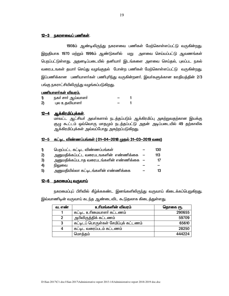## <u>12-3 நகரளவைப் பணிகள்.</u>

1908ம் ஆண்டிலிருந்து நகரளவை பணிகள் மேற்கொள்ளப்பட்டு வருகின்றது. இறுதியாக 1970 மற்றும் 1996ம் ஆண்டுகளில் மறு அளவை செய்யப்பட்டு ஆவணங்கள் பெறப்பட்டுள்ளது. அதனடிப்படையில் தனியாா் இடங்களை அளவை செய்தல், புலப்பட நகல் வரைபடஙகள் தயாா் செய்து வழங்குதல் போன்ற பணிகள் மேற்கொள்ளப்பட்டு வருகின்றது. இப்பணிக்கான பணியாளா்கள் பணிபுாிந்து வருகின்றனா். இவா்களுக்கான ஊதியத்தின் 2/3 பங்கு நகராட்சியிலிருந்து வழங்கப்படுகிறது.

## <u>பணியாளர்கள் விவரம்.</u>

|              | நகா சாா ஆயவாளா |  |
|--------------|----------------|--|
| $\mathbf{2}$ | பல உகவியாளா்   |  |

## <u>12-4 ஆக்கிரமிப்புக்கள்.</u>

மாவட்ட ஆட்சியா் அவா்களால் நடத்தப்படும் ஆக்கிரமிப்பு அகற்றுவதற்கான இயக்கு குழு கூட்டம் ஒவ்வொரு மாதமும் நடத்தப்பட்டு அதன் அடிப்படையில் 49 தற்காலிக ஆக்கிரமிப்புக்கள் அவ்வப்போது அகற்றப்படுகிறது.

#### <u>12-5 கட்டிட விண்ணப்பங்கள் ( 01–04–2018 முகல் 31–03–2019 வரை)</u>

| 1                            | பெறப்பட்ட கட்டிட விண்ணப்பங்கள்            | 130 |
|------------------------------|-------------------------------------------|-----|
| 2)                           | அனுமதிக்கப்பட்ட வரைபடஙகளின் எண்ணிக்கை     | 113 |
| 3)                           | அனுமதிக்கப்படாத வரைபடங்களின் எண்ணிக்கை  — | 17  |
| $\left( \frac{1}{2} \right)$ | நிலுவை                                    |     |
| 5)                           | அனுமதியில்லா கட்டிடங்களின் எண்ணிக்கை      | 13  |

### <u>12-6 நகரமைப்பு வருவாய்</u>

நகரமைப்புப் பிரிவில் கீழ்க்ககண்ட இனங்களிலிருந்து வருவாய் கிடைக்கப்பெறுகிறது. இவ்வாணிடின் வருவாய் கடந்த ஆண்டைவிட கூடுதலாக கிடைத்துள்ளது.

| வ. எண் | உரிமங்களின் விவரம்                    | தொகை ரூ. |
|--------|---------------------------------------|----------|
|        | கட்டிட உரிமையாளர் கட்டணம்             | 290655   |
|        | அபிவிருத்திக் கட்டணம்                 | 59709    |
| 3      | கட்டிடப் பொருள்கள் சேமிப்புக் கட்டணம் | 65610    |
| 4      | கட்டிட வரைப்படம் கட்டணம்              | 28250    |
|        | மொத்தம்                               | 444224   |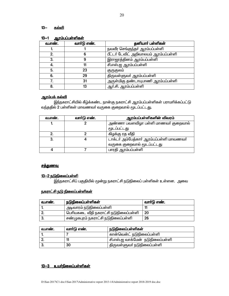#### $13 -$ <u>கல்வி</u>

| வ.எண். | வார்டு எண். | தனியார் பள்ளிகள்                      |  |  |
|--------|-------------|---------------------------------------|--|--|
|        |             | நவவீர செங்குந்தா் ஆரம்பப்பள்ளி        |  |  |
|        |             | பீட்டர் டேவிட் அறிவாலயம் ஆரம்பப்பள்ளி |  |  |
|        |             | இராஜரத்தினம் ஆரம்பப்பள்ளி             |  |  |
|        |             | சி.எஸ்.ஐ ஆரம்பப்பள்ளி                 |  |  |
| 5.     | 23          | குருகுலம்                             |  |  |
| 6.     | 29          | திருவள்ளுவா் ஆரம்பப்பள்ளி             |  |  |
|        | 31          | அருள்மிகு தண்டாயுபாணி ஆரம்பப்பள்ளி    |  |  |
| 8.     | 13          | ஆர்.சி. ஆரம்பப்பள்ளி                  |  |  |

#### ் பாப்பட்டுள்ளிகள்  $13 - 1$

# <u>ஆரம்பக் கல்வி</u>

இந்நகராட்சியில் கீழ்க்கண்ட நான்கு நகராட்சி ஆரம்பப்பள்ளிகள் பராமரிக்கப்பட்டு வந்ததில் 2 பள்ளிகள் மாவணவர் வருகை குறைவால் மூடப்பட்டது.

| வ.எண். | வாா்டு எண். | ஆரம்பப்பள்ளிகளின் விவரம்                 |
|--------|-------------|------------------------------------------|
|        |             | அண்ணா பவளவிழா பள்ளி மாணவா் குறைவால்      |
|        |             | மூடப்பட்டது                              |
|        |             | கிழக்கு ரத வீதி                          |
| З.     |             | டாக்டர் அம்பேத்கார் ஆரம்பப்பள்ளி மாவணவர் |
|        |             | வருகை குறைவால் மூடப்பட்டது               |
|        |             | பாரதி ஆரம்பப்பள்ளி                       |

# <u>சத்துணவு</u>

# 13-2 நடுநிலைப்பள்ளி

இந்நகராட்சிப் பகுதியில் மூன்று நகராட்சி நடுநிலைப் பள்ளிகள் உள்ளன. அவை

# <u>நகராட்சி நடு நிலைப்பள்ளிகள்</u>

| வ.எண். | நடுநிலைப்பள்ளிகள்                     | வார்டு எண். |
|--------|---------------------------------------|-------------|
|        | அடிவாரம் நடுநிலைப்பள்ளி               |             |
|        | பெரியகடை வீதி நகராட்சி நடுநிலைப்பள்ளி | 20          |
|        | சண்முகபுரம் நகராட்சி நடுநிலைப்பள்ளி   | 26          |

| வ.எண். | வாா்டு எண். | ் நடுநிலைப்பள்ளிகள்                 |
|--------|-------------|-------------------------------------|
|        |             | கான்வென்ட் நடுநிலைப்பள்ளி           |
|        |             | ' சி.எஸ்.ஐ வாக்மேன்  நடுநிலைப்பள்ளி |
|        | 30          | திருவள்ளுவா் நடுநிலைப்பள்ளி         |

# <u>13-3 உயர்நிலைப்பள்ளிகள்</u>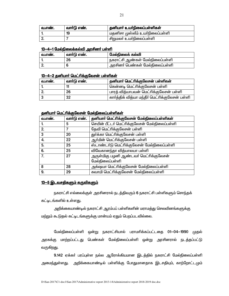| வ.எண். | வார்டு எண். | கனியார் உயர்நிலைப்பள்ளிகள்                   |
|--------|-------------|----------------------------------------------|
|        | 19          | <sup>'</sup> மதனிசா முஸ்லீம் உயா்நிலைப்பள்ளி |
|        |             | ' சிறுமலா் உயா்நிலைப்பள்ளி                   |

## 13-4-1 மேல்நிலைக்கல்வி அரசினர் பள்ளி

| வ.எண். | வார்டு எண். | மேல்நிலைக் கல்வி                             |
|--------|-------------|----------------------------------------------|
|        | 26          | ' நகராட்சி ஆண்கள் மேல்நிலைப்பள்ளி            |
|        |             | <sup>।</sup> அரசினா் பெண்கள் மேல்நிலைப்பள்ளி |

# 13-4-2 தனியார் மெட்ரிக்குலேசன் பள்ளிகள்

| வ.எண். | வாா்டு எண். | தனியார் மெட்ரிக்குலேசன் பள்ளிகள்                |
|--------|-------------|-------------------------------------------------|
|        |             | கென்னடி மெட்ரிக்குலேசன் பள்ளி                   |
|        | 26          | பாரத் வித்யாபவன் மெட்ரிக்குலேசன் பள்ளி          |
|        | 32          | கார்த்திக் வித்யா மந்தீர் மெட்ரிக்குலேசன் பள்ளி |

## கனியார் மெட்ரிக்குவேசன் மேல்நிலைப்பள்ளிகள்

| வ.எண். | வார்டு எண். | தனியார் மெட்ரிக்குலேசன் மேல்நிலைப்பள்ளிகள்                |
|--------|-------------|-----------------------------------------------------------|
|        | 5           | செயின் பீட்டர் மெட்ரிக்குலேசன் மேல்நிலைப்பள்ளி            |
| 2.     |             | தேவி மெட்ரிக்குலேசன் பள்ளி                                |
| 3      | 20          | துர்க்கா மெட்ரிக்குலேசன் பள்ளி                            |
| 4.     | 22          | ஆர்மின் மெட்ரிக்குலேசன் பள்ளி                             |
| 5.     | 25          | ஸ்டாண்டர்டு மெட்ரிக்குலேசன் மேல்நிலைப்பள்ளி               |
| 6.     | 25          | விவேகானந்தா வித்யாலயா பள்ளி                               |
| 7.     | 27          | அருள்மிகு பழனி ஆண்டவர் மெட்ரிக்குலேசன்<br>மேல்நிலைப்பள்ளி |
| 8      | 28          | அக்ஷயா மெட்ரிக்குலேசன் மேல்நிலைப்பள்ளி                    |
| 9.     | 29          | சுவாமி மெட்ரிக்குலேசன் மேல்நிலைப்பள்ளி                    |

## 13-5 இடவசதிகளும் கருவிகளும்

நகராட்சி எல்லைக்குள் அரசினரால் நடத்திவரும் 6 நகராட்சி பள்ளிகளும் சொந்தக் கட்டிடங்களில் உள்ளது.

அறிக்கையாண்டில் நகராட்சி ஆரம்பப் பள்ளிகளின் மராமத்து செலவினங்களுக்கு மற்றும் கூடுதல் கட்டிடங்களுக்கு மான்யம் ஏதும் பெறப்படவில்லை.

மேல்நிலைப்பள்ளி ஒன்று நகராட்சியால் பராமரிக்கப்பட்டதை 01—04—1990 முதல் அரசுக்கு மாற்றப்பட்டது பெண்கள் மேல்நிலைப்பள்ளி ஒன்று அரசினரால் நடத்தப்பட்டு வருகிறது.

9.142 ஏக்கர் பரப்புள்ள நல்ல ஆரோக்கியமான இடத்தில் நகராட்சி மேல்நிலைப்பள்ளி அமைந்துள்ளது. அறிக்கையாண்டில் பள்ளிக்கு போதுமானதாக இடசதியும், காற்றோட்டமும்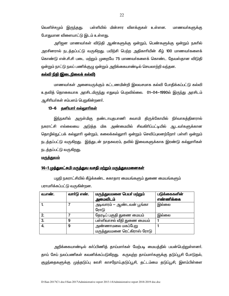வெளிச்சமும் இரு<u>ந்தது</u>. பள்ளியில் மின்சார விளக்குகள் உள்ளன. மாணவர்களுக்கு <u>போதுமான விளையாட்டு இடம் உள்ளது.</u>

அரிஜன மாணவர்கள் விடுதி ஆண்களுக்கு ஒன்றும், பெண்களுக்கு ஒன்றும் நகரில் அரசினரால் நடத்தப்பட்டு வருகிறது. பயிற்சி பெற்ற அதிகாாியின் கீழ் 100 மாணவா்களைக் கொண்டு என்.சி.சி படை மற்றும் முறையே 75 மாணவர்களைக் கொண்ட தேவஸ்தான விடுதி ஒன்றும் நாட்டு நலப் பணிக்குழு ஒன்றும் அறிக்கையாண்டில் செயலாற்றி வந்தன.

### <u>கல்வி நிதி (இடைநிலைக் கல்வி)</u>

மாணவர்கள் அனைவருக்கும் கட்டணமின்றி இலவசமாக கல்வி போதிக்கப்பட்டு கல்வி உதவித் தொகையாக அரசிடமிருந்து எதுவும் பெறவில்லை. 01—04—1990ல் இருந்து அரசிடம் ஆசிரியர்கள் சம்பளம் பெறுகின்றனர்.

## 13-6 தனியார் கல்லூரிகள்

இந்நகரில் அருள்மிகு தண்டாயுதபாணி சுவாமி திருக்கோயில் நிா்வாகத்தினரால் நகராட்சி எல்லையை அடுத்த மிக அண்மையில் சிவகிரிப்பட்டியில் ஆடவா்களுக்கான தொழில்நுட்பக் கல்லுாரி ஒன்றும், கலைக்கல்லுாரி ஒன்றும் செவிப்புலனற்றோா் பள்ளி ஒன்றும் நடத்தப்பட்டு வருகிறது. இத்துடன் நாதசுவரம், தவில் இவைகளுக்காக இரண்டு கல்லுாரிகள் நடத்தப்பட்டு வருகிறது.

#### <u>மருத்துவம்</u>

# 14–1 முத்துலட்சுமி மருத்துவ வசதி மற்றும் மருத்துவமனைகள்

பழநி நகராட்சியில் கீழ்க்கண்ட சுகாதார மையங்களும் துணை மையங்களும் பராமாிக்கப்பட்டு வருகின்றன.

| வ.எண். | வார்டு எண். | மருத்துவமனை பெயர் மற்றும்<br>அமைவிடம்            | படுக்கைகளின்<br>எண்ணிக்கை |
|--------|-------------|--------------------------------------------------|---------------------------|
|        |             | அடிவாரம் — ஆண்டவன் பூங்கா<br>ரோடு                | இல்லை                     |
|        |             | தேரடிப் பகுதி துணை மையம்                         | இல்லை                     |
| 3.     | 9           | பள்ளிவாசல் வீதி துணை மையம்                       |                           |
|        | 9           | அண்ணாமலை மகப்பேறு<br>மருத்துவமனை ரெட்கிராஸ் ரோடு |                           |

அறிக்கையாண்டில் கா்ப்பிணித் தாய்மாா்கள் மேற்படி மையத்தில் பயன்பெற்றுள்ளனா். தாய் சேய் நலப்பணிகள் கவனிக்கப்படுகிறது. கருவுற்ற தாய்மாா்களுக்கு தடுப்பூசி போடுதல், குழந்தைகளுக்கு முத்தடுப்பு ஊசி காசநோய்,தடுப்பூசி, தட்டம்மை தடுப்பூசி, இளம்பிள்ளை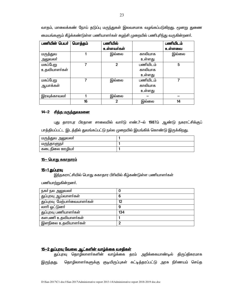வாதம், மாலைக்கண் நோய் தடுப்பு மருந்துகள் இலவசமாக வழங்கப்படுகிறது. மூனறு துணை மையங்களும் கீழ்க்கண்டுள்ள பணியாளர்கள் சுழற்சி முறையில் பணிபுரிந்து வருகின்றனர்.

| பணியின் பெயர் | மொத்தம் | பணியில்        |          | பணியிடம் |
|---------------|---------|----------------|----------|----------|
|               |         | உள்ளவர்கள்     |          | உள்ளவை   |
| மருத்துவ      |         | இல்லை          | காலியாக  | இல்லை    |
| அலுவலா்       |         |                | உள்ளது   |          |
| மகப்பேறு      |         | $\mathfrak{p}$ | பணியிடம் | 5        |
| உதவியாளர்கள்  |         |                | காலியாக  |          |
|               |         |                | உள்ளது   |          |
| மகப்பேறு      | 7       | இல்லை          | பணியிடம் | 7        |
| ஆயாக்கள்      |         |                | காலியாக  |          |
|               |         |                | உள்ளது   |          |
| இரவுக்காவலா்  |         | இல்லை          |          |          |
|               | 16      | 2              | இல்லை    | 14       |

# 14-2 <u>சித்த மருத்துவமனை</u>

புது தாராபுர பிரதான சாலையில் வார்டு எண்.7-ல் 1987ம் ஆண்டு நகராட்சிக்குப் பாத்தியப்பட்ட இடத்தில் துவங்கப்பட்டு நல்ல முறையில் இயங்கிக் கொண்டு இருக்கிறது.

| மருத்துவ<br>அலுவலா     |  |
|------------------------|--|
| ாளுநா<br>וופטוווי      |  |
| ஊமியா<br>கடை<br>_நுைலை |  |

# <u>15– பொது சுகாதாரம்</u>

# <u>15-1 துப்பூவ</u>

இந்நகராட்சியில் பொது சுகாதார பிரிவில் கீழ்கண்டுள்ள பணியாளர்கள்

பணியாற்றுகின்றனர்.

| நகா நல அலுவலா்               | O   |
|------------------------------|-----|
| துப்புரவு ஆய்வாளர்கள்        | 6   |
| துப்புரவு மேற்பார்வையாளர்கள் | 12  |
| லாரி ஓட்டுனர்                | 9   |
| துப்புரவு பணியாளர்கள்        | 134 |
| களபணி உதவியாளர்கள்           |     |
| இளநிலை உதவியாளா்கள்          | n   |

# <u>15-2 துப்புரவு வேலை ஆட்களின் வாழ்க்கை வசதிகள்</u>

துப்புரவு தொழிலாளர்களின் வாழ்க்கை தரம் அறிக்கையாண்டில் திருப்திகரமாக இருந்தது. தொழிலாளர்களுக்கு குடியிருப்புகள் கட்டித்தரப்பட்டு அரசு நிர்ணயம் செய்த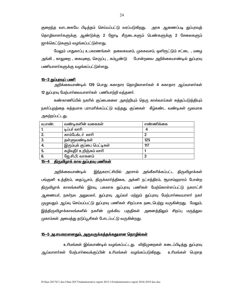24

குறைந்த வாடகையே பிடித்தம் செய்யப்பட்டு வரப்படுகிறது. அரசு ஆணைப்படி துப்புரவுத் தொழிலாளா்களுக்கு ஆண்டுக்கு 2 ஜோடி சீருடைகளும் பெண்களுக்கு 2 சேலைகளும் ஜாக்கெட்டுகளும் வழங்கப்பட்டுள்ளது.

மேலும் பாதுகாப்பு உபகரணங்கள் தலைகவசம், முககவசம், ஒளிரூட்டும் சட்டை , மழை அங்கி , காலுறை , கையுறை, செருப்பு , கம்பூண்டு போன்றவை அறிக்கையாண்டில் துப்புரவு பணியாளா்களுக்கு வழங்கப்பட்டுள்ளது.

#### 15-3 துப்புரவுப் பணி

அறிக்கையாண்டில் 139 பொது சுகாதார தொழிலாளா்கள் 4 சுகாதார ஆய்வாளா்கள் 12 துப்புரவு மேற்பார்வையாளர்கள் பணியாற்றி வந்தனர்.

கண்காணிப்பில் நகரில் குப்பைகளை அகற்றியும் தெரு கால்வாய்கள் சுத்தப்படுத்தியும் நகா்ப்புறத்தை சுத்தமாக பராமாிக்கப்பட்டு வந்தது. குப்கைள் கீழ்கண்ட வண்டிகள் மூலமாக அகற்றப்பட்ட<u>து</u>.

| வ.எண். | வண்டிகளின் வகைகள்          | எண்ணிக்கை |
|--------|----------------------------|-----------|
|        | டிப்பர் லாரி               |           |
|        | காம்பேக்டர் லாரி           |           |
| -3.    | தள்ளுவண்டிகள்              | 125       |
|        | இரும்புக் குப்பை பெட்டிகள் | 117       |
| -5.    | கழிவுநீா் உறிஞ்சும் லாாி   |           |
| 6.     | ஜே.சி.பி. வாகனம்           | n         |

## <u>15—4 கிருவிமாக் கால குப்பரவு பணிகள்</u>

இந்நகராட்சியில் அரசால் அங்கீகரிக்கப்பட்ட திருவிழாக்கள் அறிக்கையாண்டில் பங்குனி உத்திரம், தைப்பூசம், திருக்காா்த்திகை, அக்னி நட்சத்திரம், சூரசம்ஹாரம் போன்ற திருவிழாக் காலங்களில் இரவு, பகலாக துப்புரவு பணிகள் மேற்கொள்ளப்பட்டு நகராட்சி ஆணையா், நகா்நல அலுவலா், துப்புரவு ஆய்வா் மற்றும் துப்புரவு மேற்பாா்வையாளா் நகா் முழுவதும் ஆய்வு செய்யப்பட்டு துப்புரவு பணிகள் சிறப்பாக நடைபெற்று வருகின்றது. மேலும், இத்திருவிழாக்காலங்களில் நகரின் முக்கிய பகுதிகள் அனைத்திலும் சிறப்பு மருத்துவ முகாம்கள் அமைத்து தடுப்பூசிகள் போடப்பட்டு வருகின்றது.

### <u>15—5 அபாயகரமானதும், அருவருக்கத்தக்கதுமான தொழில்கள்</u>

உரிமங்கள் இவ்வாண்டில் வழங்கப்பட்டது. விதிமுறைகள் கடைப்பிடித்து துப்புரவு ஆய்வாளா்கள் மேற்பாா்வைக்குப்பின் உாிமங்கள் வழங்கப்படுகிறது. உாிமங்கள் பெறாத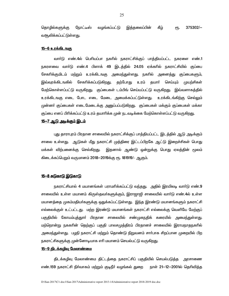தொழில்களுக்கு நோட்டீஸ் கீம்  $375302/-$ வமங்கப்பட்டு இக்கலைப்பின் ρҧ. <u>வசூலிக்கப்பட்டுள்ளது.</u>

#### <u>15-6 உரக்கிடஙகு</u>

வாா்டு எண்.4ல் பொியப்பா நகாில் நகராட்சிக்குப் பாத்தியப்பட்ட நகரளை எண்.1 நகரளவை வாா்டு எண்.4 பிளாக் 49 இடத்தில் 24.05 ஏக்காில் நகராட்சியில் குப்பை சேகாிக்குமிடம் மற்றும் உரக்கிடஙகு அமைந்துள்ளது. நகாில் அனைத்து குப்பைகளும், இவ்வுரக்கிடஙகில் சேகரிக்கப்படுகிறது. முயற்சிகள் தற்போது உரம் தயாா் செய்யும் மேற்கொள்ளப்பட்டு வருகிறது. குப்பைகள் டம்பிங் செய்யப்பட்டு வருகிறது. இவ்வளாகத்தில் உரக்கிடஙகு எடை போட எடை மேடை அமைக்கப்பட்டுள்ளது. உரக்கிடங்கிற்கு செல்லும் முன்னா் குப்பைகள் எடைமேடைக்கு அனுப்பப்படுகிறது. குப்பைகள் மக்கும் குப்பைகள் மக்கா குப்பை எனப் பிரிக்கப்பட்டு உரம் கயாரிக்க முன் நடவடிக்கை மேற்கொள்ளப்பட்டு வருகிறது.

#### <u>15-7 ஆடு அடிக்கும் இடம்</u>

புது தாராபுரம் பிரதான சாலையில் நகராட்சிக்குப் பாத்தியப்பட்ட இடத்தில் ஆடு அடிக்கும் சாலை உள்ளது. ஆடுகள் மீது நகராட்சி முத்திரை இட்டப்பிறகே ஆட்டு இறைச்சிகள் பொது மக்கள் விற்பனைக்கு செல்கிறது. இதனால் ஆண்டு ஒன்றுக்கு பொது ஏலத்தின் மூலம் கிடைக்கப்பெறும் வருமானம் 2018—2019க்கு ரூ. 181919/- ஆகும்.

#### <u>15—8 சுடுகாடு இடுகாடு</u>

நகராட்சியால் 4 மயானங்கள் பராமாிக்கப்பட்டு வந்தது. அதில் இரயிலடி வாா்டு எண்.9 சாலையில் உள்ள மயானம் கிருஸ்தவா்களுக்கும். இராஜாஜி சாலையில் வாா்டு எண்.4ல் உள்ள மயானத்தை முகம்மதியா்களுக்கு ஒதுக்கப்பட்டுள்ளது. இந்த இரண்டு மயானங்களும் நகராட்சி எல்லைக்குள் உட்பட்டது. மற்ற இரண்டு மயானங்கள் நகராட்சி எல்லைக்கு வெளியே மேற்குப் பகுதியில் கோயம்புத்துாா் பிரதான சாலையில் சண்முகநதிக் கரையில் அமைந்துள்ளது. மற்றொன்று நககரின் தெற்குப் பகுதி பாலசமுத்திரம் பிரதானச் சாலையில் இராமநாதநகரில் அமைந்துள்ளது. பழநி நகராட்சி மற்றும் தொண்டு நிறுவனம் சாா்பாக சிறப்பான முறையில் பிற நகராட்சிகளுக்கு முன்னோடியாக எரி மயானம் செயல்பட்டு வருகிறது.

## <u>15-9 கிடக்கமிவு மேலாண்மை</u>

திடக்கழிவு மேலாண்மை திட்டத்தை நகராட்சிப் பகுதியில் செயல்படுத்த அரசாணை எண்.159 நகராட்சி நிா்வாகம் மற்றும் குடிநீா் வழங்கல் துறை நாள் 21—12—2001ல் தொிவித்த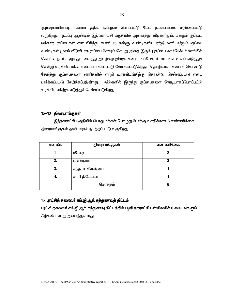அறிவுரையின்படி நகர்மன்றத்தில் ஒப்புதல் பெறப்பட்டு மேல் நடவடிக்கை எடுக்கப்பட்டு வருகிறது. நடப்பு ஆண்டில் இந்நகராட்சி பகுதியில் அனைத்து வீடுகளிலும், மக்கும் குப்பை, மக்காத குப்பைகள் என பிரித்து சுமாா் 75 தள்ளு வண்டிகளில் ஏற்றி லாாி மற்றும் குப்பை வண்டிகள் மூலம் வீடுவீடாக குப்பை சேகரம் செய்து அதை இரும்பு குப்பை காம்பேக்டர் லாரியில் கொட்டி நகா் முழுவதும் வைத்து அவற்றை இலகு, கனரக கம்பேக்டா் லாாிகள் மூலம் எடுத்துச் சென்று உரக்கிடஙகில் எடை பார்க்கப்பட்டு சேமிக்கப்படுகிறது. தொழிலாளர்களைக் கொண்டு சேமித்து குப்பைகளை லாரிகளில் ஏற்றி உரக்கிடங்கிற்கு கொண்டு செல்லப்பட்டு எடை பார்க்கப்பட்டு சேமிக்கப்படுகிறது. வீடுகளில் இருந்து குப்பைகளை நேரடியாகப்பெறப்பட்டு உரக்கிடஙகிற்கு எடுத்துச் செல்லப்படுகிறது.

## <u>15-10 திரையரங்குகள்</u>

இந்நகராட்சி பகுதியில் பொது மக்கள் பொழுது போக்கு வசதிக்காக 6 எண்ணிக்கை திரையரங்குகள் தனியாரால் நடத்தப்பட்டு வருகிறது.

| வ.எண். | திரையரங்குகள்  | எண்ணிக்கை |
|--------|----------------|-----------|
|        | ரமேஷ்          | 2         |
| 2.     | வள்ளுவா்       | 2         |
| 3.     | சந்தானகிருஷ்ணா |           |
| 4.     | சாமி தியேட்டர் |           |
|        | மொத்தம்        | 6         |

# 16. <u>புரட்சித் தலைவர் எம்.ஜி.ஆர். சத்துணவுத் திட்டம்</u>

புரட்சி தலைவா் எம்.ஜி.ஆா். சத்துணவு திட்டத்தில் பழநி நகராட்சி பள்ளிகளில் 6 மையங்களும் கீழ்கண்டவாறு அமைந்துள்ளது.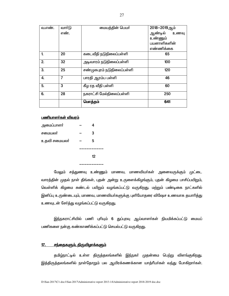| வ.எண். | வார்டு         | மையத்தின் பெயர்            | 2018-2019ஆம்    |
|--------|----------------|----------------------------|-----------------|
|        | எண்.           |                            | ஆண்டில்<br>உணவு |
|        |                |                            | உண்ணும்         |
|        |                |                            | பயனாளிகளின்     |
|        |                |                            | எண்ணிக்கை       |
| 1.     | 20             | கடைவீதி நடுநிலைப்பள்ளி     | 65              |
| 2.     | 32             | அடிவாரம் நடுநிலைப்பள்ளி    | 100             |
| 3.     | 25             | சண்முகபுரம் நடுநிலைப்பள்ளி | 120             |
| 4.     | $\overline{7}$ | பாரதி ஆரம்ப பள்ளி          | 46              |
| 5.     | 3              | கீழ ரத வீதி பள்ளி          | 60              |
| 6.     | 28             | நகராட்சி மேல்நிலைப்பள்ளி   | 250             |
|        |                | மொத்தம்                    | 641             |

### பணியாளர்கள் விவரம்

|              | 12 |
|--------------|----|
|              |    |
| உதவி சமையலா் | 5  |
| சமையலா       | 3  |
| அமைப்பாளா்   |    |

மேலும் சத்துணவு உண்ணும் மாணவ, மாணவியா்கள் அனைவருக்கும் முட்டை வாரத்தின் முதல் நாள் திங்கள், புதன் அன்று உருளைக்கிழங்கும், புதன் கிழமை பாசிப்பயிறும், வெள்ளிக் கிழமை சுண்டல் பயிறும் வழங்கப்பட்டு வருகிறது. மற்றும் பண்டிகை நாட்களில் இனிப்பு உருண்டையும், மாணவ, மாணவியா்களுக்கு புளியோதரை விஷேச உணவாக தயாாித்து உணவுடன் சேர்த்து வழங்கப்பட்டு வருகிறது.

இந்நகராட்சியில் பணி புரியும் 6 துப்புரவு ஆய்வாளர்கள் நியமிக்கப்பட்டு மையப் பணிகளை நன்கு கண்காணிக்கப்பட்டு செயல்பட்டு வருகிறது.

## <u>17. சந்தைகளும், திருவிழாக்களும்</u>

தமிழ்நாட்டில் உள்ள திருத்தலங்களில் இந்நகர் முதன்மை பெற்று விளங்குகிறது. இத்திருத்தலங்களில் நாள்தோறும் பல ஆயிரக்கணக்கான யாத்ரீயா்கள் வந்து போகிறாா்கள்.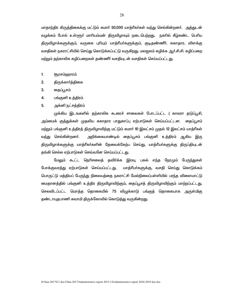மாதாந்திர கிருத்திகைக்கு மட்டும் சுமார் 50,000 யாத்ரீகர்கள் வந்து செல்கின்றனர். அத்துடன் வழக்கம் போல் உள்ளூா் மாாியம்மன் திருவிழாவும் நடைபெற்றது. நகாில் கீழ்கண்ட பொிய திருவிழாக்களுக்கும், வருகை புரியும் யாத்ரீயா்களுக்கும், குடிதண்ணீா், சுகாதார, விளக்கு வசதிகள் நகராட்சியில் செய்து கொடுக்கப்பட்டு வருகிறது. மலஜலம் கழிக்க ஆர்.சி.சி. கழிப்பறை மற்றும் தற்காலிக கழிப்பறைகள் தண்ணீர் வசதியுடன் வசதிகள் செய்யப்பட்டது.

- $1.$ <u>சூரசம்ஹாரம்</u>
- $2.$ திருக்கார்த்திகை
- 3. தைப்பூசம்
- 4. பங்குனி உத்திரம்
- 5. அக்னி நட்சக்கிரம்

முக்கிய இடஙகளில் கற்காலிக கூரைச் சாலைகள் போடப்பட்ட ( காலாா கடுப்பூசி, அம்மைக் குத்துக்கள் முதலிய சுகாதார பாதுகாப்பு ஏற்பாடுகள் செய்யப்பட்டன. தைப்பூசம் மற்றும் பங்குனி உத்திரத் திருவிழாவிற்கு மட்டும் சுமார் 10 இலட்சம் முதல் 12 இலட்சம் யாத்ரீகள் வ<u>ந்து</u> செல்கின்றனர். அறிக்கையாண்டில் தைப்பூசம் பங்குனி உத்திரம் ஆகிய இரு திருவிழாக்களுக்கு யாத்ரீகா்களின் தேவைக்கேற்ப செய்து, யாத்ரீயா்களுக்கு திருப்தியுடன் தங்கி செல்ல ஏற்பாடுகள் செவ்வனே செய்யப்பட்டது.

மேலும் கூட்ட நெரிசலைத் தவிர்க்க இரவு, பகல் எந்த நேரமும் பேருந்துகள் போக்குவரத்து ஏற்பாடுகள் செய்யப்பட்டது. யாத்ாீயா்களுக்கு, வசதி செய்து கொடுக்கம் பொருட்டு மத்தியப் பேருந்து நிலையத்தை நகராட்சி மேல்நிலைப்பள்ளியில் பரந்த விளையாட்டு மைதானத்தில் பங்குனி உத்திர திருவிழாவிற்கும், தைப்பூசத் திருவிழாவிற்கும் மாற்றப்பட்ட<u>த</u>ு. செலவிடப்பட்ட மொத்த தொகையில் 75 விழுக்காடு பங்குத் தொகையாக அருள்மிகு தண்டாயுதபாணி சுவாமி திருக்கோவில் கொடுத்து வருகின்றது.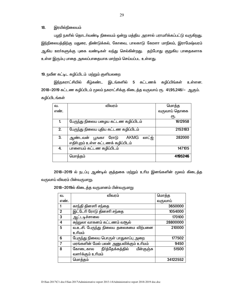# 18. இரயில்நிலையம்

பழநி நகரில் தொடர்வண்டி நிலையம் ஒன்று மத்திய அரசால் பராமரிக்கப்பட்டு வருகிறது. இந்நிலையத்திற்கு மதுரை, திண்டுக்கல், கோவை, பாலகாடு கேரளா மாநிலம், இராமேஷ்வரம் ஆகிய ஊா்களுக்கு புகை வண்டிகள் வந்து செல்கின்றது. தற்போது குறுகிய பாதைகளாக உள்ள இரும்பு பாதை அகலப்பாதையாக மாற்றம் செய்யப்பட உள்ளது.

## 19. நவீன கட்டிட கழிப்பிடம் மற்றும் குளியலறை

இந்நகராட்சியில் கீழ்கண்ட இடங்களில் 5 கட்டணக் கழிப்பிங்கள் உள்ளன. 2018-2019 கட்டண கழிப்பிடம் மூலம் நகராட்சிக்கு கிடைத்த வருவாய் ரூ. 41,95,246/- ஆகும். கழிப்பிடங்கள்

| ഖ.   | விவரம்                                                                   | மொத்த        |
|------|--------------------------------------------------------------------------|--------------|
| எண். |                                                                          | வருவாய் தொகை |
|      |                                                                          | ιҧ.          |
| 1.   | பேருந்து நிலைய பழைய கட்டண கழிப்பிடம்                                     | 1612958      |
| 2.   | பேருந்து நிலைய புதிய கட்டண கழிப்பிடம்                                    | 2153183      |
| 3.   | லாட்ஜ்<br>ஆண்டவன் பூஙகா ரோடு  AKMG<br>எதிர்புறம் உள்ள கட்டணக் கழிப்பிடம் | 282000       |
| 4.   | பாளையம் கட்டண கழிப்பிடம்                                                 | 147105       |
|      | மொத்தம்                                                                  | 4195246      |

2018-2019 ல் நடப்பு ஆண்டில் குத்தகை மற்றும் உரிம இனங்களின் மூலம் கிடைத்த வருவாய் விவரம் பின்வருமாறு.

2018-2019ல் கிடைத்த வருமானம் பின்வருமாறு

| வ.             | விவரம்                                     | மொத்த    |
|----------------|--------------------------------------------|----------|
| எண்.           |                                            | வருவாய்  |
|                | காந்தி தினசரி சந்தை                        | 3650000  |
| $\overline{2}$ | இட்டேரி ரோடு தினசரி சந்தை                  | 1054000  |
| $\overline{3}$ | ஆட்டடிச்சாலை                               | 170100   |
| 4              | சுற்றுலா வாகனம் கட்டணம் வசூல்              | 28800000 |
| 5              | வ.உ.சி. பேருந்து நிலைய தலைசுமை விற்பனை     | 210000   |
|                | உரிமம்                                     |          |
| 6              | பேருந்து நிலைய பொருள் பாதுகாப்பு அறை       | 177502   |
| $\overline{7}$ | மரங்களின் மேல் பலன் அனுபவிக்கும் உரிமம்    | 9450     |
| 8              | நீா்த்தேக்கத்தில்<br>மீன்குஞ்சு<br>கோடைகால | 51500    |
|                | வளர்க்கும் உரிமம்                          |          |
|                | மொத்தம்                                    | 34122552 |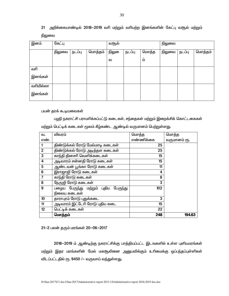அறிக்கையாண்டில் 2018–2019 வரி மற்றும் வரியற்ற இனங்களின் கேட்பு வசூல் மற்றும்  $21$ நிலுவை

| இனம்      | கேட்பு |        |         | வசூல் |        |       | நிலுவை |        |         |
|-----------|--------|--------|---------|-------|--------|-------|--------|--------|---------|
|           | நிலுவை | நடப்பு | மொத்தம் | நிலு  | நடப்பு | மொத்த | நிலுவை | நடப்பு | மொத்தம் |
|           |        |        |         | ഖ     |        | ம்    |        |        |         |
| வரி       |        |        |         |       |        |       |        |        |         |
| இனங்கள்   |        |        |         |       |        |       |        |        |         |
| வரியில்லா |        |        |         |       |        |       |        |        |         |
| இனங்கள்   |        |        |         |       |        |       |        |        |         |

பயன் தரக் கூடியவைகள்

பழநி நகராட்சி பராமரிக்கப்பட்டு கடைகள், சந்தைகள் மற்றும் இறைக்சிக் கொட்டகைகள்

மற்றும் பெட்டிக் கடைகள் மூலம் கீழ்கண்ட ஆண்டில் வருமானம் பெற்றுள்ளது.

| ഖ.             | விவரம்                               | மொத்த     | மொத்த        |
|----------------|--------------------------------------|-----------|--------------|
| எண்.           |                                      | எண்ணிக்கை | வருமானம் ரூ. |
|                | திண்டுக்கல் ரோடு மேல்மாடி கடைகள்     | 25        |              |
| $\overline{2}$ | திண்டுக்கல் ரோடு அடித்தள கடைகள்      | 25        |              |
| $\overline{3}$ | காந்தி தினசரி வெளிக்கடைகள்           | 15        |              |
| 4              | அடிவாரம் சன்னதி ரோடு கடைகள்          | 15        |              |
| $\overline{5}$ | ஆண்டவன் பூங்கா ரோடு கடைகள்           | 11        |              |
| 6              | இராஜாஜி ரோடு கடைகள்                  | 4         |              |
| $\overline{7}$ | காந்தி ரோடு கடைகள்                   | 8         |              |
| 8              | நேருஜி ரோடு கடைகள்                   | 3         |              |
| 9              | பழைய பேருந்து மற்றும் புதிய பேருந்து | 102       |              |
|                | நிலைய கடைகள்                         |           |              |
| 10             | தாராபுரம் ரோடு புதுக்கடை             | 3         |              |
| 11             | அடிவாரம் இட்டேரி ரோடு புதிய கடை      | 15        |              |
| 12             | பெட்டிக் கடைகள்                      | 22        |              |
|                | மொத்தம்                              | 248       | 194.63       |

21-2 பலன் தரும் மரங்கள் 20-06-2017

2018-2019 ம் ஆண்டிற்கு நகராட்சிக்கு பாத்தியப்பட்ட இடஙகளில் உள்ள புளியமரங்கள் மற்றும் இதர மரங்களின் மேல் மகசூலினை அனுபவிக்கும் உரிமைக்கு ஒப்பந்தப்புள்ளிகள் விடப்பட்டதில் ரூ. 9450 /- வருவாய் வந்துள்ளது.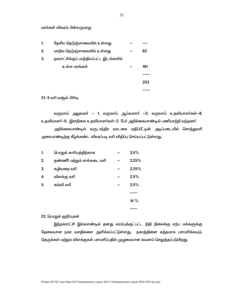மரங்கள் விவரம் பின்வருமாறு

| 1. | தேசிய நெடுஞ்சாலையில் உள்ளது            |  |     |
|----|----------------------------------------|--|-----|
| 2. | மாநில நெடுஞ்சாலையில் உள்ளது            |  | 62  |
| 3. | நகராட்சிக்குப் பாத்தியப்பட்ட இடங்களில் |  |     |
|    | உள்ள மரங்கள்                           |  | 191 |
|    |                                        |  |     |
|    |                                        |  | 253 |
|    |                                        |  |     |

21-3 வரி வசூல் பிரிவு

வருவாய் அலுவலா் — 1, வருவாய் ஆய்வாளா் —2, வருவாய் உதவியாளா்கள்—8, உதவியாளா்—0, இளநிலை உதவியாளா்கள்—2 போ் அறிக்கையாண்டில் பணியாற்றி வந்தனா். அறிக்கையாண்டில் வருடாந்திர வாடகை மதிப்பீட்டின் அடிப்படையில் சொத்துவரி அரையாண்டிற்கு கீழ்க்கண்ட விவரப்படி வரி விதிப்பு செய்யப்பட்டுள்ளது.

| 1.               | பொதுக் காரியத்திற்காக       | $3.5\%$ |
|------------------|-----------------------------|---------|
| 2.               | தண்ணீர் மற்றும் சாக்கடை வரி | 3.25%   |
| 3.               | கழிவறை வரி                  | 2.25%   |
| $\overline{4}$ . | விளக்கு வரி                 | 2.5%    |
| 5.               | கல்வி வரி                   | 2.5%    |
|                  |                             |         |
|                  |                             | 14%     |
|                  |                             |         |

### 22. பொதுக் குறிப்புகள்

இந்நகராட்சி இவ்வாண்டில் தனது வரம்புக்குட்பட்ட நிதி நிலைக்கு ஏற்ப மக்களுக்கு தேவையான நகர வசதிகளை அளிக்கப்பட்டுள்ளது. நகரத்தினை சுத்தமாக பராமாிக்கவும், தெருக்கள் மற்றும் விளக்குகள் பராமரிப்பதில் முழுமையான கவனம் செலுத்தப்படுகிறது.

31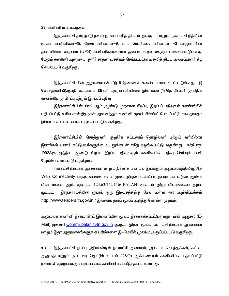23. கணினி மயமாக்குகல்

<u>இந்ந</u>கராட்சி தமிழ்நாடு நகர்ப்புற வளர்ச்சித் திட்டம் அலகு —II மற்றும் நகராட்சி நிதியின் மூலம் கணினிகள்—18, லேசர் பிரிண்டர்—9, டாட் மேட்ரிக்ஸ் பிரிண்டர் —2 மற்றும் மின் தடையில்லா சாதனம் (UPS) கணினிகளுக்கான துணை சாதனங்களும் வாங்கப்பட்டுள்ளது. மேலும் கணினி அறையை குளிர் சாதன வசதியும் செய்யப்பட்டு உதவித் திட்ட அமைப்பாளர் கீழ் செயல்பட்டு வருக<u>ிறத</u>ு.

<u>இந்</u>நகராட்சி மின் ஆளுமையின் கீழ் 6 இனங்கள் கணினி மயமாக்கப்பட்டுள்ளது. (1) சொத்துவாி (2).குடிநீா் கட்டணம் (3) வாி மற்றும் வாியில்லா இனங்கள் (4) தொழில்வாி (5) நிதிக் கணக்கீடு (6) பிறப்பு மற்றும் இறப்புப் பதிவு

<u>இந்ந</u>கராட்சியின் 1992—ஆம் ஆண்டு முதலான பிறப்பு, இறப்புப் பதிவுகள் கணினியில் பதியப்பட்டு உரிய சான்றிதழ்கள் அனைத்தும் கணினி மூலம் பிரிண்ட் போடப்பட்டு காலதாமதம் இல்லாமல் உடனடியாக வழங்கப்பட்டு வருகிறது.

<u>இந்ந</u>கராட்சியின் சொத்துவாி, குடிநீா்க் கட்டணம் தொழில்வாி மற்றும் வாியில்லா இனங்கள் பணம் கட்டுபவா்களுக்கு உடனுக்குடன் ரசீது வழங்கப்பட்டு வருகிறது. தற்போது 1992க்கு முந்திய ஆண்டு பிறப்பு இறப்பு பதிவுகளும் கணினியில் பதிவு செய்யும் பணி மேற்கொள்ளப்பட்டு வருகி<u>றத</u>ு.

நகராட்சி நிா்வாக ஆணையா் மற்றும் நிா்வாக மண்டல இயக்குநா் அலுவலகத்திலிருந்தே Wan Connectivity பரந்த வலைத் தளம் மூலம் இந்நகராட்சியின் அன்றாடம் வசூல் குறித்த விவரங்களை அறிய முடியும்.  $123.63.242.116/$   $\sf PALANI$  மூலமும் இந்த விவரங்கைள அறிய முடியும். இந்நகராட்சியின் ரூபாய் ஒரு இலட்சத்திற்கு மேல் உள்ள ஏல அறிவிப்புக்கள் http://www.tenders.tn.gov.in / இணைய தளம் மூலம் அறிந்து கொள்ள முடியும்.

அலுவலக கணினி இன்டா்நெட் இணைப்பின் மூலம் இணைக்கப்பட்டுள்ளது. மின் அஞ்சல் (E-Mail) முகவரி Commr.palani@tn.gov.in ஆகும். இதன் மூலம் நகராட்சி நிர்வாக ஆணையர் மற்றும் இதர அலுவலகங்களுக்கு பதில்களை இ—மெயில் மூலங்ம அனுப்பப்பட்டு வருகி<u>றது</u>.

**உ)** இந்நகராட்சி நடப்பு நிதியாண்டில் நகராட்சி அசையும், அசையா சொத்துக்கள், கட்டிட அனுமதி மற்றும் அபாயகர தொழில் உரிமம் (D&O) ஆகியவையும் கணினியில் பதியப்பட்டு நகராட்சி முழுமைக்கும் படிப்படியாக கணினி மயப்படுத்தப்பட உள்ள<u>து</u>.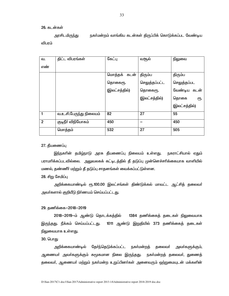### 26. கடன்கள்

அரசிடமிருந்து நகர்மன்றம் வாங்கிய கடன்கள் திருப்பிக் கொடுக்கப்பட வேண்டிய விபரம்

| வ.             | திட்ட விபரங்கள்         | கேட்பு        | வசூல்         | நிலுவை        |
|----------------|-------------------------|---------------|---------------|---------------|
| எண்            |                         |               |               |               |
|                |                         | மொத்தக் கடன்  | திரும்ப       | திரும்ப       |
|                |                         | தொகைரூ.       | செலுத்தப்பட்ட | செலுத்தப்பட   |
|                |                         | (இலட்சத்தில்) | தொகைரூ.       | வேண்டிய கடன்  |
|                |                         |               | (இலட்சத்தில்) | தொகை<br>€Ҧ.   |
|                |                         |               |               | (இலட்சத்தில்) |
| 1              | வ.உ.சி.பேருந்து நிலையம் | 82            | 27            | 55            |
| $\overline{2}$ | குடிநீா் விநியோகம்      | 450           |               | 450           |
|                | மொத்தம்                 | 532           | 27            | 505           |

#### 27. தீயணைப்பு

<u>இந்ந</u>கரின் தமி<u>ழ்ந</u>ாடு அரசு தீயணைப்பு நிலையம் உள்ளது. நகராட்சியால் ஏதும் பராமாிக்கப்படவில்லை. அலுவலகக் கட்டிடத்தில் தீ தடுப்பு முன்னெச்சாிக்கையாக வாளியில் மணல், தண்ணீர் மற்றும் தீ தடுப்பு சாதனங்கள் வைக்கப்பட்டுள்ளன.

# 28. சிறு சேமிப்பு

அறிக்கையாண்டில் ரூ.100.00 இலட்சங்கள் திண்டுக்கல் மாவட்ட ஆட்சித் தலைவர் அவர்களால் குறியீடு நிர்ணயம் செய்யப்பட்டது.

### 29. தணிக்கை-2018-2019

2018--2019-ம் ஆண்டு தொடக்கத்தில் 1384 தணிக்கைத் தடைகள் நிலுவையாக இருந்தது. நீக்கம் செய்யப்பட்டது. 1011 ஆண்டு இறுதியில் 373 தணிக்கைத் தடைகள் நிலுவையாக உள்ளது.

# 30. பொது

அறிக்கையாண்டில் தேர்ந்தெடுக்கப்பட்ட நகர்மன்றத் தலைவர் அவா்களுக்கும், ஆணையா் அவா்களுக்கும் சுமூகமான நிலை இருந்தது. நகா்மன்றத் தலைவா், துணைத் தலைவா், ஆணையா் மற்றும் நகா்மன்ற உறுப்பினா்கள் அனைவரும் ஒற்றுமையுடன் மக்களின்